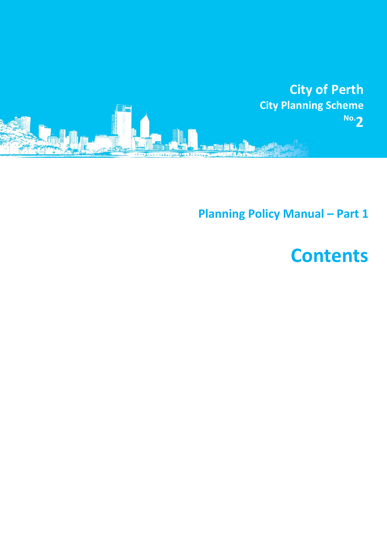

**Planning Policy Manual - Part 1** 

## **Contents**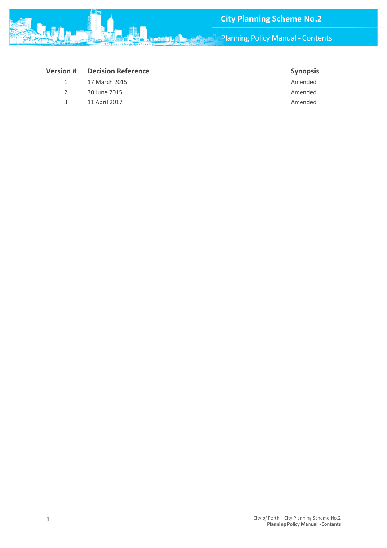

**Panning Policy Manual - Contents** 

| <b>Version#</b> | <b>Decision Reference</b> | <b>Synopsis</b> |
|-----------------|---------------------------|-----------------|
|                 | 17 March 2015             | Amended         |
| 2               | 30 June 2015              | Amended         |
| 3               | 11 April 2017             | Amended         |
|                 |                           |                 |
|                 |                           |                 |
|                 |                           |                 |
|                 |                           |                 |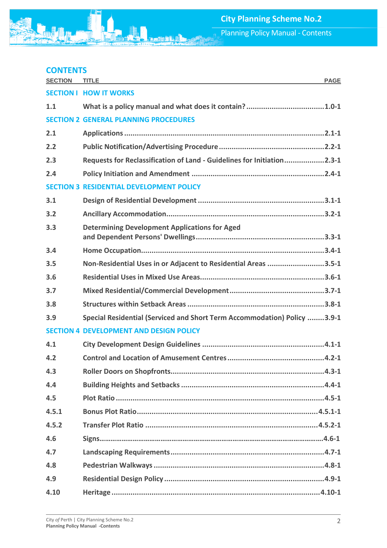## **CONTENTS**

| <b>SECTION</b> | <b>TITLE</b><br><b>PAGE</b>                                              |
|----------------|--------------------------------------------------------------------------|
|                | <b>SECTION I HOW IT WORKS</b>                                            |
| 1.1            |                                                                          |
|                | <b>SECTION 2 GENERAL PLANNING PROCEDURES</b>                             |
| 2.1            |                                                                          |
| 2.2            |                                                                          |
| 2.3            | Requests for Reclassification of Land - Guidelines for Initiation2.3-1   |
| 2.4            |                                                                          |
|                | <b>SECTION 3 RESIDENTIAL DEVELOPMENT POLICY</b>                          |
| 3.1            |                                                                          |
| 3.2            |                                                                          |
| 3.3            | <b>Determining Development Applications for Aged</b>                     |
| 3.4            |                                                                          |
| 3.5            | Non-Residential Uses in or Adjacent to Residential Areas 3.5-1           |
| 3.6            |                                                                          |
| 3.7            |                                                                          |
| 3.8            |                                                                          |
| 3.9            | Special Residential (Serviced and Short Term Accommodation) Policy 3.9-1 |
|                | <b>SECTION 4 DEVELOPMENT AND DESIGN POLICY</b>                           |
| 4.1            |                                                                          |
| 4.2            |                                                                          |
| 4.3            |                                                                          |
| 4.4            |                                                                          |
| 4.5            |                                                                          |
| 4.5.1          |                                                                          |
| 4.5.2          |                                                                          |
| 4.6            |                                                                          |
| 4.7            |                                                                          |
| 4.8            |                                                                          |
| 4.9            |                                                                          |
| 4.10           |                                                                          |

<u>fine fine</u>